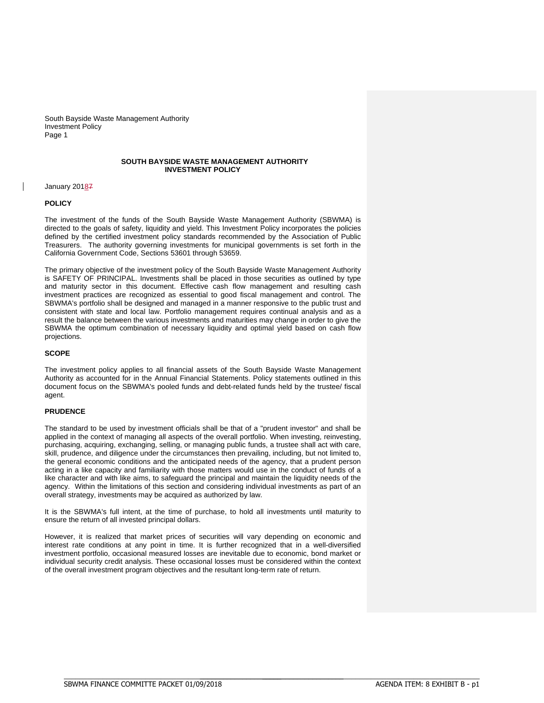## **SOUTH BAYSIDE WASTE MANAGEMENT AUTHORITY INVESTMENT POLICY**

### January 20187

# **POLICY**

The investment of the funds of the South Bayside Waste Management Authority (SBWMA) is directed to the goals of safety, liquidity and yield. This Investment Policy incorporates the policies defined by the certified investment policy standards recommended by the Association of Public Treasurers. The authority governing investments for municipal governments is set forth in the California Government Code, Sections 53601 through 53659.

The primary objective of the investment policy of the South Bayside Waste Management Authority is SAFETY OF PRINCIPAL. Investments shall be placed in those securities as outlined by type and maturity sector in this document. Effective cash flow management and resulting cash investment practices are recognized as essential to good fiscal management and control. The SBWMA's portfolio shall be designed and managed in a manner responsive to the public trust and consistent with state and local law. Portfolio management requires continual analysis and as a result the balance between the various investments and maturities may change in order to give the SBWMA the optimum combination of necessary liquidity and optimal yield based on cash flow projections.

# **SCOPE**

The investment policy applies to all financial assets of the South Bayside Waste Management Authority as accounted for in the Annual Financial Statements. Policy statements outlined in this document focus on the SBWMA's pooled funds and debt-related funds held by the trustee/ fiscal agent.

### **PRUDENCE**

The standard to be used by investment officials shall be that of a "prudent investor" and shall be applied in the context of managing all aspects of the overall portfolio. When investing, reinvesting, purchasing, acquiring, exchanging, selling, or managing public funds, a trustee shall act with care, skill, prudence, and diligence under the circumstances then prevailing, including, but not limited to, the general economic conditions and the anticipated needs of the agency, that a prudent person acting in a like capacity and familiarity with those matters would use in the conduct of funds of a like character and with like aims, to safeguard the principal and maintain the liquidity needs of the agency. Within the limitations of this section and considering individual investments as part of an overall strategy, investments may be acquired as authorized by law.

It is the SBWMA's full intent, at the time of purchase, to hold all investments until maturity to ensure the return of all invested principal dollars.

However, it is realized that market prices of securities will vary depending on economic and interest rate conditions at any point in time. It is further recognized that in a well-diversified investment portfolio, occasional measured losses are inevitable due to economic, bond market or individual security credit analysis. These occasional losses must be considered within the context of the overall investment program objectives and the resultant long-term rate of return.

\_\_\_\_\_\_\_\_\_\_\_\_\_\_\_\_\_\_\_\_\_\_\_\_\_\_\_\_\_\_\_\_\_\_\_\_\_\_\_\_\_\_\_\_\_\_\_\_\_\_\_\_\_\_\_\_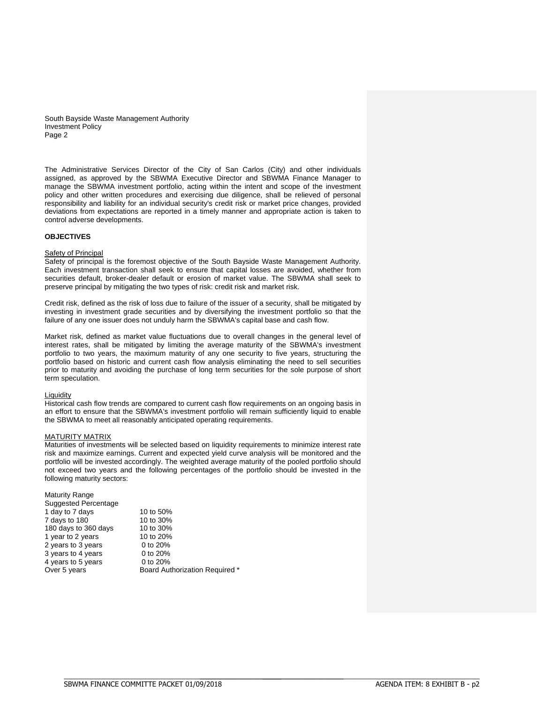The Administrative Services Director of the City of San Carlos (City) and other individuals assigned, as approved by the SBWMA Executive Director and SBWMA Finance Manager to manage the SBWMA investment portfolio, acting within the intent and scope of the investment policy and other written procedures and exercising due diligence, shall be relieved of personal responsibility and liability for an individual security's credit risk or market price changes, provided deviations from expectations are reported in a timely manner and appropriate action is taken to control adverse developments.

# **OBJECTIVES**

# Safety of Principal

Safety of principal is the foremost objective of the South Bayside Waste Management Authority. Each investment transaction shall seek to ensure that capital losses are avoided, whether from securities default, broker-dealer default or erosion of market value. The SBWMA shall seek to preserve principal by mitigating the two types of risk: credit risk and market risk.

Credit risk, defined as the risk of loss due to failure of the issuer of a security, shall be mitigated by investing in investment grade securities and by diversifying the investment portfolio so that the failure of any one issuer does not unduly harm the SBWMA's capital base and cash flow.

Market risk, defined as market value fluctuations due to overall changes in the general level of interest rates, shall be mitigated by limiting the average maturity of the SBWMA's investment portfolio to two years, the maximum maturity of any one security to five years, structuring the portfolio based on historic and current cash flow analysis eliminating the need to sell securities prior to maturity and avoiding the purchase of long term securities for the sole purpose of short term speculation.

### **Liquidity**

Historical cash flow trends are compared to current cash flow requirements on an ongoing basis in an effort to ensure that the SBWMA's investment portfolio will remain sufficiently liquid to enable the SBWMA to meet all reasonably anticipated operating requirements.

### MATURITY MATRIX

Maturities of investments will be selected based on liquidity requirements to minimize interest rate risk and maximize earnings. Current and expected yield curve analysis will be monitored and the portfolio will be invested accordingly. The weighted average maturity of the pooled portfolio should not exceed two years and the following percentages of the portfolio should be invested in the following maturity sectors:

| <b>Maturity Range</b>       |                                       |
|-----------------------------|---------------------------------------|
| <b>Suggested Percentage</b> |                                       |
| 1 day to 7 days             | 10 to 50%                             |
| 7 days to 180               | 10 to 30%                             |
| 180 days to 360 days        | 10 to 30%                             |
| 1 year to 2 years           | 10 to 20%                             |
| 2 years to 3 years          | 0 to 20%                              |
| 3 years to 4 years          | 0 to 20%                              |
| 4 years to 5 years          | 0 to 20%                              |
| Over 5 years                | <b>Board Authorization Required *</b> |
|                             |                                       |

\_\_\_\_\_\_\_\_\_\_\_\_\_\_\_\_\_\_\_\_\_\_\_\_\_\_\_\_\_\_\_\_\_\_\_\_\_\_\_\_\_\_\_\_\_\_\_\_\_\_\_\_\_\_\_\_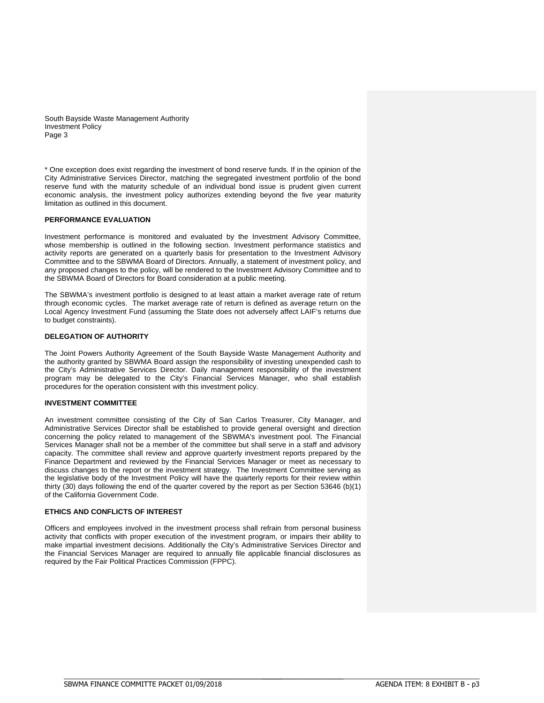\* One exception does exist regarding the investment of bond reserve funds. If in the opinion of the City Administrative Services Director, matching the segregated investment portfolio of the bond reserve fund with the maturity schedule of an individual bond issue is prudent given current economic analysis, the investment policy authorizes extending beyond the five year maturity limitation as outlined in this document.

# **PERFORMANCE EVALUATION**

Investment performance is monitored and evaluated by the Investment Advisory Committee, whose membership is outlined in the following section. Investment performance statistics and activity reports are generated on a quarterly basis for presentation to the Investment Advisory Committee and to the SBWMA Board of Directors. Annually, a statement of investment policy, and any proposed changes to the policy, will be rendered to the Investment Advisory Committee and to the SBWMA Board of Directors for Board consideration at a public meeting.

The SBWMA's investment portfolio is designed to at least attain a market average rate of return through economic cycles. The market average rate of return is defined as average return on the Local Agency Investment Fund (assuming the State does not adversely affect LAIF's returns due to budget constraints).

# **DELEGATION OF AUTHORITY**

The Joint Powers Authority Agreement of the South Bayside Waste Management Authority and the authority granted by SBWMA Board assign the responsibility of investing unexpended cash to the City's Administrative Services Director. Daily management responsibility of the investment program may be delegated to the City's Financial Services Manager, who shall establish procedures for the operation consistent with this investment policy.

# **INVESTMENT COMMITTEE**

An investment committee consisting of the City of San Carlos Treasurer, City Manager, and Administrative Services Director shall be established to provide general oversight and direction concerning the policy related to management of the SBWMA's investment pool. The Financial Services Manager shall not be a member of the committee but shall serve in a staff and advisory capacity. The committee shall review and approve quarterly investment reports prepared by the Finance Department and reviewed by the Financial Services Manager or meet as necessary to discuss changes to the report or the investment strategy. The Investment Committee serving as the legislative body of the Investment Policy will have the quarterly reports for their review within thirty (30) days following the end of the quarter covered by the report as per Section 53646 (b)(1) of the California Government Code.

# **ETHICS AND CONFLICTS OF INTEREST**

Officers and employees involved in the investment process shall refrain from personal business activity that conflicts with proper execution of the investment program, or impairs their ability to make impartial investment decisions. Additionally the City's Administrative Services Director and the Financial Services Manager are required to annually file applicable financial disclosures as required by the Fair Political Practices Commission (FPPC).

\_\_\_\_\_\_\_\_\_\_\_\_\_\_\_\_\_\_\_\_\_\_\_\_\_\_\_\_\_\_\_\_\_\_\_\_\_\_\_\_\_\_\_\_\_\_\_\_\_\_\_\_\_\_\_\_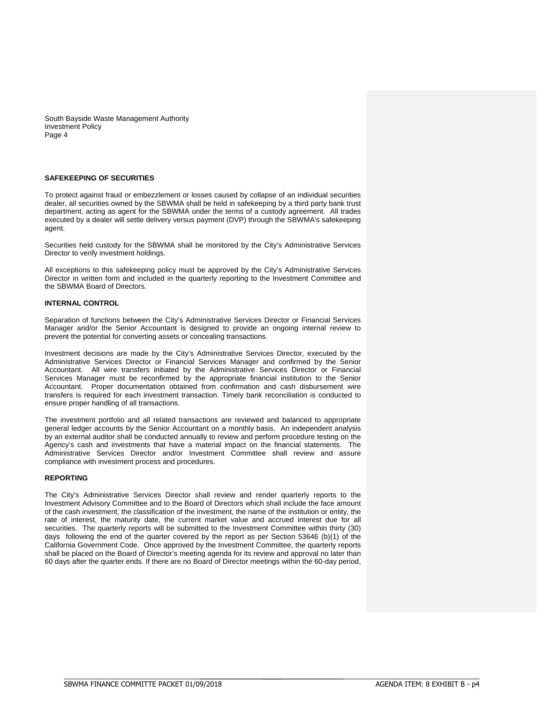## **SAFEKEEPING OF SECURITIES**

To protect against fraud or embezzlement or losses caused by collapse of an individual securities dealer, all securities owned by the SBWMA shall be held in safekeeping by a third party bank trust department, acting as agent for the SBWMA under the terms of a custody agreement. All trades executed by a dealer will settle delivery versus payment (DVP) through the SBWMA's safekeeping agent.

Securities held custody for the SBWMA shall be monitored by the City's Administrative Services Director to verify investment holdings.

All exceptions to this safekeeping policy must be approved by the City's Administrative Services Director in written form and included in the quarterly reporting to the Investment Committee and the SBWMA Board of Directors.

# **INTERNAL CONTROL**

Separation of functions between the City's Administrative Services Director or Financial Services Manager and/or the Senior Accountant is designed to provide an ongoing internal review to prevent the potential for converting assets or concealing transactions.

Investment decisions are made by the City's Administrative Services Director, executed by the Administrative Services Director or Financial Services Manager and confirmed by the Senior Accountant. All wire transfers initiated by the Administrative Services Director or Financial Services Manager must be reconfirmed by the appropriate financial institution to the Senior Accountant. Proper documentation obtained from confirmation and cash disbursement wire transfers is required for each investment transaction. Timely bank reconciliation is conducted to ensure proper handling of all transactions.

The investment portfolio and all related transactions are reviewed and balanced to appropriate general ledger accounts by the Senior Accountant on a monthly basis. An independent analysis by an external auditor shall be conducted annually to review and perform procedure testing on the Agency's cash and investments that have a material impact on the financial statements. The Administrative Services Director and/or Investment Committee shall review and assure compliance with investment process and procedures.

### **REPORTING**

The City's Administrative Services Director shall review and render quarterly reports to the Investment Advisory Committee and to the Board of Directors which shall include the face amount of the cash investment, the classification of the investment, the name of the institution or entity, the rate of interest, the maturity date, the current market value and accrued interest due for all securities. The quarterly reports will be submitted to the Investment Committee within thirty (30) days following the end of the quarter covered by the report as per Section 53646 (b)(1) of the California Government Code. Once approved by the Investment Committee, the quarterly reports shall be placed on the Board of Director's meeting agenda for its review and approval no later than 60 days after the quarter ends. If there are no Board of Director meetings within the 60-day period,

\_\_\_\_\_\_\_\_\_\_\_\_\_\_\_\_\_\_\_\_\_\_\_\_\_\_\_\_\_\_\_\_\_\_\_\_\_\_\_\_\_\_\_\_\_\_\_\_\_\_\_\_\_\_\_\_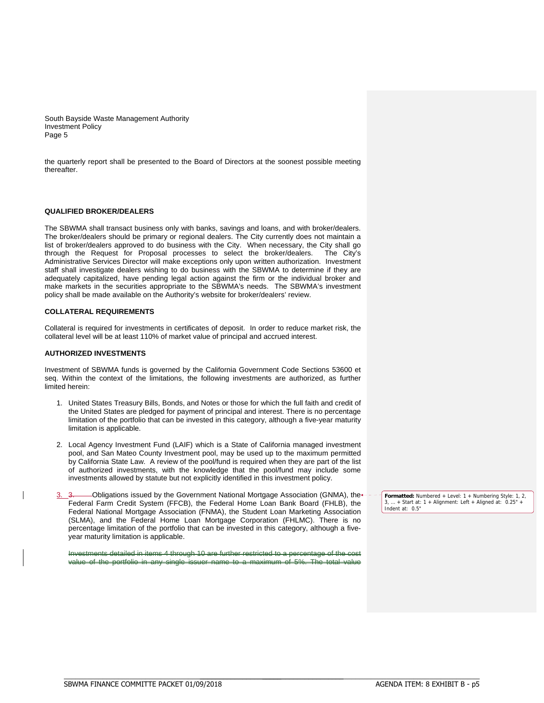the quarterly report shall be presented to the Board of Directors at the soonest possible meeting thereafter.

# **QUALIFIED BROKER/DEALERS**

The SBWMA shall transact business only with banks, savings and loans, and with broker/dealers. The broker/dealers should be primary or regional dealers. The City currently does not maintain a list of broker/dealers approved to do business with the City. When necessary, the City shall go through the Request for Proposal processes to select the broker/dealers. The City's Administrative Services Director will make exceptions only upon written authorization. Investment staff shall investigate dealers wishing to do business with the SBWMA to determine if they are adequately capitalized, have pending legal action against the firm or the individual broker and make markets in the securities appropriate to the SBWMA's needs. The SBWMA's investment policy shall be made available on the Authority's website for broker/dealers' review.

## **COLLATERAL REQUIREMENTS**

Collateral is required for investments in certificates of deposit. In order to reduce market risk, the collateral level will be at least 110% of market value of principal and accrued interest.

# **AUTHORIZED INVESTMENTS**

Investment of SBWMA funds is governed by the California Government Code Sections 53600 et seq. Within the context of the limitations, the following investments are authorized, as further limited herein:

- 1. United States Treasury Bills, Bonds, and Notes or those for which the full faith and credit of the United States are pledged for payment of principal and interest. There is no percentage limitation of the portfolio that can be invested in this category, although a five-year maturity limitation is applicable.
- 2. Local Agency Investment Fund (LAIF) which is a State of California managed investment pool, and San Mateo County Investment pool, may be used up to the maximum permitted by California State Law. A review of the pool/fund is required when they are part of the list of authorized investments, with the knowledge that the pool/fund may include some investments allowed by statute but not explicitly identified in this investment policy.
- 3. Obligations issued by the Government National Mortgage Association (GNMA), the Federal Farm Credit System (FFCB), the Federal Home Loan Bank Board (FHLB), the Federal National Mortgage Association (FNMA), the Student Loan Marketing Association (SLMA), and the Federal Home Loan Mortgage Corporation (FHLMC). There is no percentage limitation of the portfolio that can be invested in this category, although a fiveyear maturity limitation is applicable.

itments detailed in items 4 through 10 are further restricted to a percentage of the cost value of the portfolio in any single issuer name to a maximum of 5%. The total value

**Formatted:** Numbered + Level: 1 + Numbering Style: 1, 2, 3, ... + Start at: 1 + Alignment: Left + Aligned at: 0.25" + Indent at: 0.5"

\_\_\_\_\_\_\_\_\_\_\_\_\_\_\_\_\_\_\_\_\_\_\_\_\_\_\_\_\_\_\_\_\_\_\_\_\_\_\_\_\_\_\_\_\_\_\_\_\_\_\_\_\_\_\_\_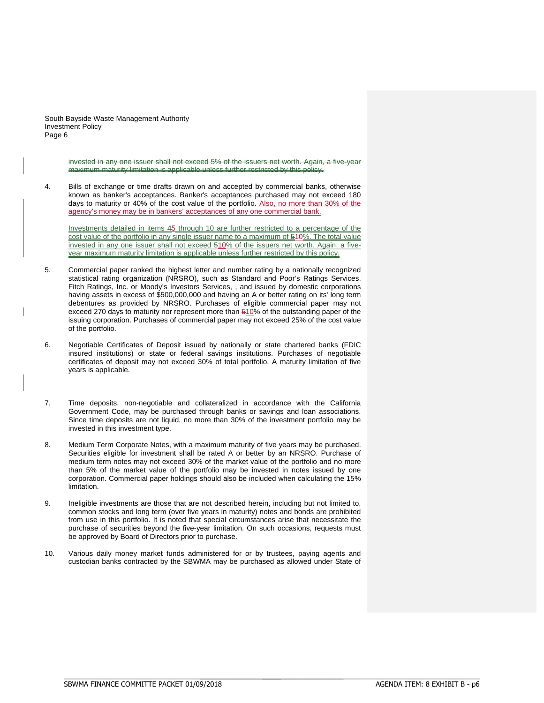> invested in any one issuer shall not exceed 5% of the issuers net worth. Again, a five-year maximum maturity limitation is applicable unless further restricted by this policy.

4. Bills of exchange or time drafts drawn on and accepted by commercial banks, otherwise known as banker's acceptances. Banker's acceptances purchased may not exceed 180 days to maturity or 40% of the cost value of the portfolio. Also, no more than 30% of the agency's money may be in bankers' acceptances of any one commercial bank.

Investments detailed in items 45 through 10 are further restricted to a percentage of the cost value of the portfolio in any single issuer name to a maximum of 510%. The total value invested in any one issuer shall not exceed 510% of the issuers net worth. Again, a fiveyear maximum maturity limitation is applicable unless further restricted by this policy.

- 5. Commercial paper ranked the highest letter and number rating by a nationally recognized statistical rating organization (NRSRO), such as Standard and Poor's Ratings Services, Fitch Ratings, Inc. or Moody's Investors Services, , and issued by domestic corporations having assets in excess of \$500,000,000 and having an A or better rating on its' long term debentures as provided by NRSRO. Purchases of eligible commercial paper may not exceed 270 days to maturity nor represent more than 510% of the outstanding paper of the issuing corporation. Purchases of commercial paper may not exceed 25% of the cost value of the portfolio.
- 6. Negotiable Certificates of Deposit issued by nationally or state chartered banks (FDIC insured institutions) or state or federal savings institutions. Purchases of negotiable certificates of deposit may not exceed 30% of total portfolio. A maturity limitation of five years is applicable.
- 7. Time deposits, non-negotiable and collateralized in accordance with the California Government Code, may be purchased through banks or savings and loan associations. Since time deposits are not liquid, no more than 30% of the investment portfolio may be invested in this investment type.
- 8. Medium Term Corporate Notes, with a maximum maturity of five years may be purchased. Securities eligible for investment shall be rated A or better by an NRSRO. Purchase of medium term notes may not exceed 30% of the market value of the portfolio and no more than 5% of the market value of the portfolio may be invested in notes issued by one corporation. Commercial paper holdings should also be included when calculating the 15% limitation.
- 9. Ineligible investments are those that are not described herein, including but not limited to, common stocks and long term (over five years in maturity) notes and bonds are prohibited from use in this portfolio. It is noted that special circumstances arise that necessitate the purchase of securities beyond the five-year limitation. On such occasions, requests must be approved by Board of Directors prior to purchase.
- 10. Various daily money market funds administered for or by trustees, paying agents and custodian banks contracted by the SBWMA may be purchased as allowed under State of

\_\_\_\_\_\_\_\_\_\_\_\_\_\_\_\_\_\_\_\_\_\_\_\_\_\_\_\_\_\_\_\_\_\_\_\_\_\_\_\_\_\_\_\_\_\_\_\_\_\_\_\_\_\_\_\_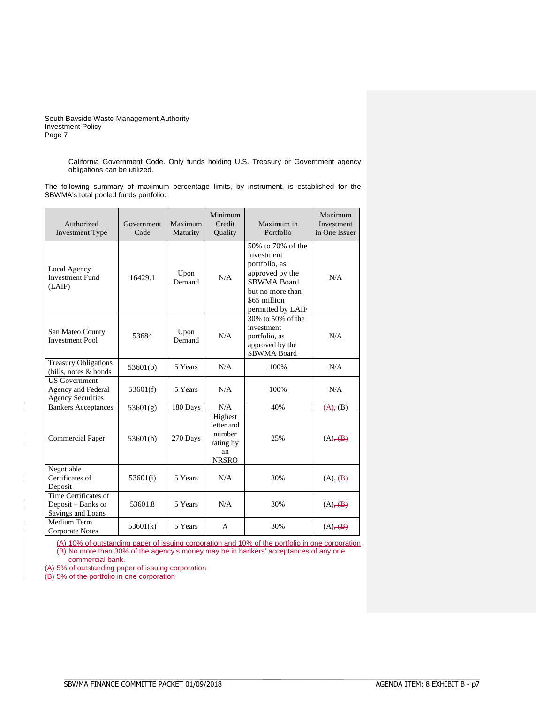> California Government Code. Only funds holding U.S. Treasury or Government agency obligations can be utilized.

The following summary of maximum percentage limits, by instrument, is established for the SBWMA's total pooled funds portfolio:

| Authorized<br><b>Investment Type</b>                                   | Government<br>Code | Maximum<br>Maturity | Minimum<br>Credit<br>Quality                                       | Maximum in<br>Portfolio                                                                                                                            | Maximum<br>Investment<br>in One Issuer |
|------------------------------------------------------------------------|--------------------|---------------------|--------------------------------------------------------------------|----------------------------------------------------------------------------------------------------------------------------------------------------|----------------------------------------|
| Local Agency<br><b>Investment Fund</b><br>(LAIF)                       | 16429.1            | Upon<br>Demand      | N/A                                                                | 50% to 70% of the<br>investment<br>portfolio, as<br>approved by the<br><b>SBWMA Board</b><br>but no more than<br>\$65 million<br>permitted by LAIF | N/A                                    |
| San Mateo County<br><b>Investment Pool</b>                             | 53684              | Upon<br>Demand      | N/A                                                                | 30% to 50% of the<br>investment<br>portfolio, as<br>approved by the<br><b>SBWMA Board</b>                                                          | N/A                                    |
| <b>Treasury Obligations</b><br>(bills, notes & bonds)                  | 53601(b)           | 5 Years             | N/A                                                                | 100%                                                                                                                                               | N/A                                    |
| <b>US</b> Government<br>Agency and Federal<br><b>Agency Securities</b> | 53601(f)           | 5 Years             | N/A                                                                | 100%                                                                                                                                               | N/A                                    |
| <b>Bankers Acceptances</b>                                             | 53601(g)           | 180 Days            | N/A                                                                | 40%                                                                                                                                                | (A), (B)                               |
| <b>Commercial Paper</b>                                                | 53601(h)           | 270 Days            | Highest<br>letter and<br>number<br>rating by<br>an<br><b>NRSRO</b> | 25%                                                                                                                                                | $(A)$ , $(B)$                          |
| Negotiable<br>Certificates of<br>Deposit                               | 53601(i)           | 5 Years             | N/A                                                                | 30%                                                                                                                                                | $(A), \overline{(B)}$                  |
| Time Certificates of<br>Deposit – Banks or<br>Savings and Loans        | 53601.8            | 5 Years             | N/A                                                                | 30%                                                                                                                                                | $(A)$ , $(B)$                          |
| Medium Term<br>Corporate Notes                                         | 53601(k)           | 5 Years             | A                                                                  | 30%                                                                                                                                                | $(A)$ , $(B)$                          |

(A) 10% of outstanding paper of issuing corporation and 10% of the portfolio in one corporation (B) No more than 30% of the agency's money may be in bankers' acceptances of any one commercial bank.

 $\overline{\phantom{a}}$  of outstanding paper of issuing corporation

(B) 5% of the portfolio in one corporation

\_\_\_\_\_\_\_\_\_\_\_\_\_\_\_\_\_\_\_\_\_\_\_\_\_\_\_\_\_\_\_\_\_\_\_\_\_\_\_\_\_\_\_\_\_\_\_\_\_\_\_\_\_\_\_\_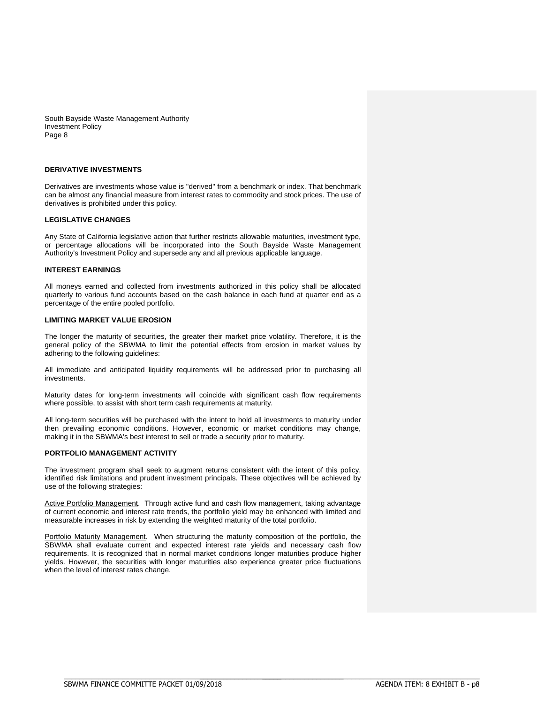# **DERIVATIVE INVESTMENTS**

Derivatives are investments whose value is "derived" from a benchmark or index. That benchmark can be almost any financial measure from interest rates to commodity and stock prices. The use of derivatives is prohibited under this policy.

# **LEGISLATIVE CHANGES**

Any State of California legislative action that further restricts allowable maturities, investment type, or percentage allocations will be incorporated into the South Bayside Waste Management Authority's Investment Policy and supersede any and all previous applicable language.

### **INTEREST EARNINGS**

All moneys earned and collected from investments authorized in this policy shall be allocated quarterly to various fund accounts based on the cash balance in each fund at quarter end as a percentage of the entire pooled portfolio.

# **LIMITING MARKET VALUE EROSION**

The longer the maturity of securities, the greater their market price volatility. Therefore, it is the general policy of the SBWMA to limit the potential effects from erosion in market values by adhering to the following guidelines:

All immediate and anticipated liquidity requirements will be addressed prior to purchasing all investments.

Maturity dates for long-term investments will coincide with significant cash flow requirements where possible, to assist with short term cash requirements at maturity.

All long-term securities will be purchased with the intent to hold all investments to maturity under then prevailing economic conditions. However, economic or market conditions may change, making it in the SBWMA's best interest to sell or trade a security prior to maturity.

# **PORTFOLIO MANAGEMENT ACTIVITY**

The investment program shall seek to augment returns consistent with the intent of this policy, identified risk limitations and prudent investment principals. These objectives will be achieved by use of the following strategies:

Active Portfolio Management. Through active fund and cash flow management, taking advantage of current economic and interest rate trends, the portfolio yield may be enhanced with limited and measurable increases in risk by extending the weighted maturity of the total portfolio.

Portfolio Maturity Management. When structuring the maturity composition of the portfolio, the SBWMA shall evaluate current and expected interest rate yields and necessary cash flow requirements. It is recognized that in normal market conditions longer maturities produce higher yields. However, the securities with longer maturities also experience greater price fluctuations when the level of interest rates change.

\_\_\_\_\_\_\_\_\_\_\_\_\_\_\_\_\_\_\_\_\_\_\_\_\_\_\_\_\_\_\_\_\_\_\_\_\_\_\_\_\_\_\_\_\_\_\_\_\_\_\_\_\_\_\_\_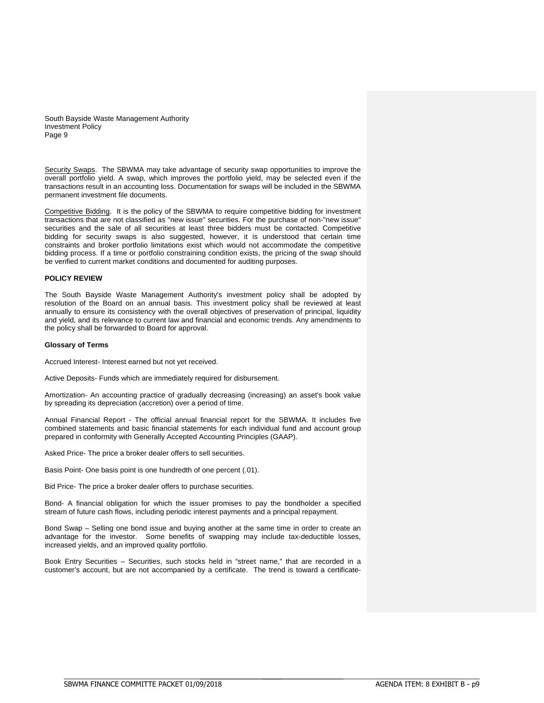Security Swaps. The SBWMA may take advantage of security swap opportunities to improve the overall portfolio yield. A swap, which improves the portfolio yield, may be selected even if the transactions result in an accounting loss. Documentation for swaps will be included in the SBWMA permanent investment file documents.

Competitive Bidding. It is the policy of the SBWMA to require competitive bidding for investment transactions that are not classified as "new issue" securities. For the purchase of non-"new issue" securities and the sale of all securities at least three bidders must be contacted. Competitive bidding for security swaps is also suggested, however, it is understood that certain time constraints and broker portfolio limitations exist which would not accommodate the competitive bidding process. If a time or portfolio constraining condition exists, the pricing of the swap should be verified to current market conditions and documented for auditing purposes.

# **POLICY REVIEW**

The South Bayside Waste Management Authority's investment policy shall be adopted by resolution of the Board on an annual basis. This investment policy shall be reviewed at least annually to ensure its consistency with the overall objectives of preservation of principal, liquidity and yield, and its relevance to current law and financial and economic trends. Any amendments to the policy shall be forwarded to Board for approval.

### **Glossary of Terms**

Accrued Interest- Interest earned but not yet received.

Active Deposits- Funds which are immediately required for disbursement.

Amortization- An accounting practice of gradually decreasing (increasing) an asset's book value by spreading its depreciation (accretion) over a period of time.

Annual Financial Report - The official annual financial report for the SBWMA. It includes five combined statements and basic financial statements for each individual fund and account group prepared in conformity with Generally Accepted Accounting Principles (GAAP).

Asked Price- The price a broker dealer offers to sell securities.

Basis Point- One basis point is one hundredth of one percent (.01).

Bid Price- The price a broker dealer offers to purchase securities.

Bond- A financial obligation for which the issuer promises to pay the bondholder a specified stream of future cash flows, including periodic interest payments and a principal repayment.

Bond Swap – Selling one bond issue and buying another at the same time in order to create an advantage for the investor. Some benefits of swapping may include tax-deductible losses, increased yields, and an improved quality portfolio.

Book Entry Securities – Securities, such stocks held in "street name," that are recorded in a customer's account, but are not accompanied by a certificate. The trend is toward a certificate-

\_\_\_\_\_\_\_\_\_\_\_\_\_\_\_\_\_\_\_\_\_\_\_\_\_\_\_\_\_\_\_\_\_\_\_\_\_\_\_\_\_\_\_\_\_\_\_\_\_\_\_\_\_\_\_\_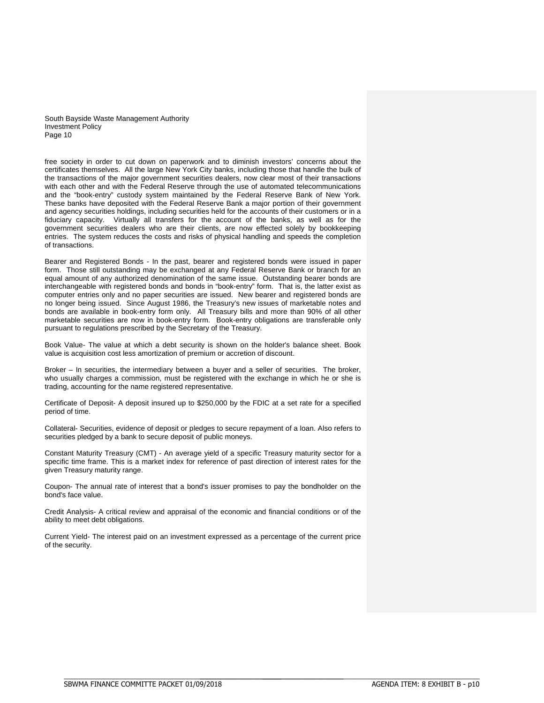free society in order to cut down on paperwork and to diminish investors' concerns about the certificates themselves. All the large New York City banks, including those that handle the bulk of the transactions of the major government securities dealers, now clear most of their transactions with each other and with the Federal Reserve through the use of automated telecommunications and the "book-entry" custody system maintained by the Federal Reserve Bank of New York. These banks have deposited with the Federal Reserve Bank a major portion of their government and agency securities holdings, including securities held for the accounts of their customers or in a fiduciary capacity. Virtually all transfers for the account of the banks, as well as for the government securities dealers who are their clients, are now effected solely by bookkeeping entries. The system reduces the costs and risks of physical handling and speeds the completion of transactions.

Bearer and Registered Bonds - In the past, bearer and registered bonds were issued in paper form. Those still outstanding may be exchanged at any Federal Reserve Bank or branch for an equal amount of any authorized denomination of the same issue. Outstanding bearer bonds are interchangeable with registered bonds and bonds in "book-entry" form. That is, the latter exist as computer entries only and no paper securities are issued. New bearer and registered bonds are no longer being issued. Since August 1986, the Treasury's new issues of marketable notes and bonds are available in book-entry form only. All Treasury bills and more than 90% of all other marketable securities are now in book-entry form. Book-entry obligations are transferable only pursuant to regulations prescribed by the Secretary of the Treasury.

Book Value- The value at which a debt security is shown on the holder's balance sheet. Book value is acquisition cost less amortization of premium or accretion of discount.

Broker – In securities, the intermediary between a buyer and a seller of securities. The broker, who usually charges a commission, must be registered with the exchange in which he or she is trading, accounting for the name registered representative.

Certificate of Deposit- A deposit insured up to \$250,000 by the FDIC at a set rate for a specified period of time.

Collateral- Securities, evidence of deposit or pledges to secure repayment of a loan. Also refers to securities pledged by a bank to secure deposit of public moneys.

Constant Maturity Treasury (CMT) - An average yield of a specific Treasury maturity sector for a specific time frame. This is a market index for reference of past direction of interest rates for the given Treasury maturity range.

Coupon- The annual rate of interest that a bond's issuer promises to pay the bondholder on the bond's face value.

Credit Analysis- A critical review and appraisal of the economic and financial conditions or of the ability to meet debt obligations.

Current Yield- The interest paid on an investment expressed as a percentage of the current price of the security.

\_\_\_\_\_\_\_\_\_\_\_\_\_\_\_\_\_\_\_\_\_\_\_\_\_\_\_\_\_\_\_\_\_\_\_\_\_\_\_\_\_\_\_\_\_\_\_\_\_\_\_\_\_\_\_\_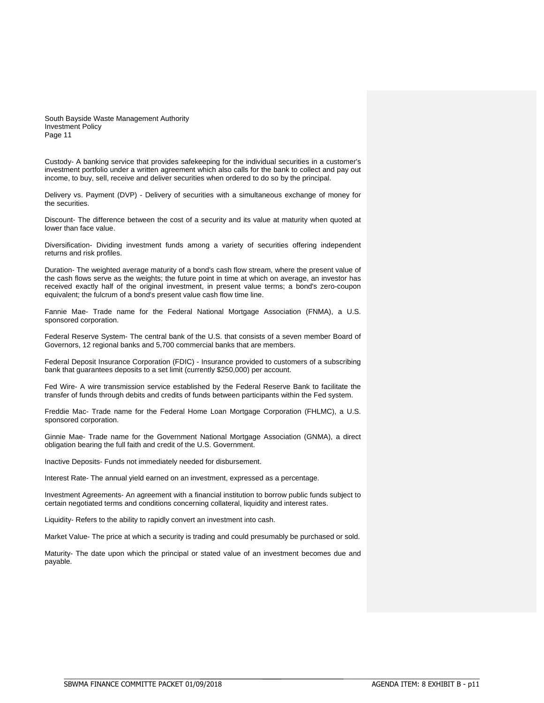Custody- A banking service that provides safekeeping for the individual securities in a customer's investment portfolio under a written agreement which also calls for the bank to collect and pay out income, to buy, sell, receive and deliver securities when ordered to do so by the principal.

Delivery vs. Payment (DVP) - Delivery of securities with a simultaneous exchange of money for the securities.

Discount- The difference between the cost of a security and its value at maturity when quoted at lower than face value.

Diversification- Dividing investment funds among a variety of securities offering independent returns and risk profiles.

Duration- The weighted average maturity of a bond's cash flow stream, where the present value of the cash flows serve as the weights; the future point in time at which on average, an investor has received exactly half of the original investment, in present value terms; a bond's zero-coupon equivalent; the fulcrum of a bond's present value cash flow time line.

Fannie Mae- Trade name for the Federal National Mortgage Association (FNMA), a U.S. sponsored corporation.

Federal Reserve System- The central bank of the U.S. that consists of a seven member Board of Governors, 12 regional banks and 5,700 commercial banks that are members.

Federal Deposit Insurance Corporation (FDIC) - Insurance provided to customers of a subscribing bank that guarantees deposits to a set limit (currently \$250,000) per account.

Fed Wire- A wire transmission service established by the Federal Reserve Bank to facilitate the transfer of funds through debits and credits of funds between participants within the Fed system.

Freddie Mac- Trade name for the Federal Home Loan Mortgage Corporation (FHLMC), a U.S. sponsored corporation.

Ginnie Mae- Trade name for the Government National Mortgage Association (GNMA), a direct obligation bearing the full faith and credit of the U.S. Government.

Inactive Deposits- Funds not immediately needed for disbursement.

Interest Rate- The annual yield earned on an investment, expressed as a percentage.

Investment Agreements- An agreement with a financial institution to borrow public funds subject to certain negotiated terms and conditions concerning collateral, liquidity and interest rates.

Liquidity- Refers to the ability to rapidly convert an investment into cash.

Market Value- The price at which a security is trading and could presumably be purchased or sold.

Maturity- The date upon which the principal or stated value of an investment becomes due and payable.

\_\_\_\_\_\_\_\_\_\_\_\_\_\_\_\_\_\_\_\_\_\_\_\_\_\_\_\_\_\_\_\_\_\_\_\_\_\_\_\_\_\_\_\_\_\_\_\_\_\_\_\_\_\_\_\_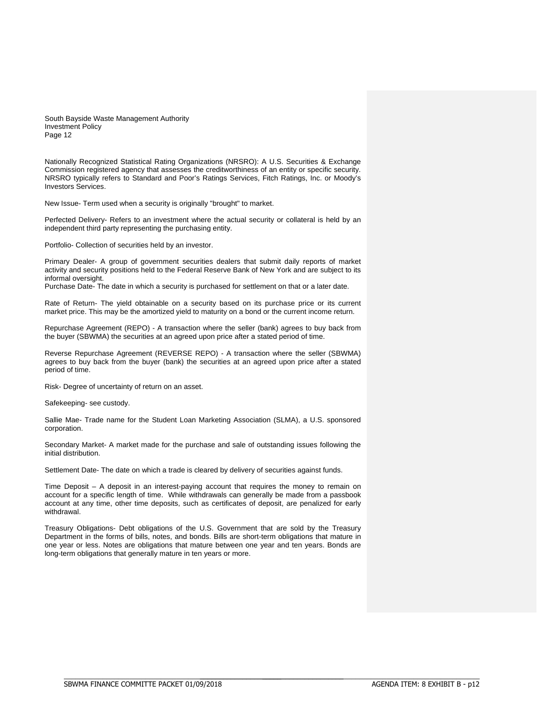Nationally Recognized Statistical Rating Organizations (NRSRO): A U.S. Securities & Exchange Commission registered agency that assesses the creditworthiness of an entity or specific security. NRSRO typically refers to Standard and Poor's Ratings Services, Fitch Ratings, Inc. or Moody's Investors Services.

New Issue- Term used when a security is originally "brought" to market.

Perfected Delivery- Refers to an investment where the actual security or collateral is held by an independent third party representing the purchasing entity.

Portfolio- Collection of securities held by an investor.

Primary Dealer- A group of government securities dealers that submit daily reports of market activity and security positions held to the Federal Reserve Bank of New York and are subject to its informal oversight.

Purchase Date- The date in which a security is purchased for settlement on that or a later date.

Rate of Return- The yield obtainable on a security based on its purchase price or its current market price. This may be the amortized yield to maturity on a bond or the current income return.

Repurchase Agreement (REPO) - A transaction where the seller (bank) agrees to buy back from the buyer (SBWMA) the securities at an agreed upon price after a stated period of time.

Reverse Repurchase Agreement (REVERSE REPO) - A transaction where the seller (SBWMA) agrees to buy back from the buyer (bank) the securities at an agreed upon price after a stated period of time.

Risk- Degree of uncertainty of return on an asset.

Safekeeping- see custody.

Sallie Mae- Trade name for the Student Loan Marketing Association (SLMA), a U.S. sponsored corporation.

Secondary Market- A market made for the purchase and sale of outstanding issues following the initial distribution.

Settlement Date- The date on which a trade is cleared by delivery of securities against funds.

Time Deposit – A deposit in an interest-paying account that requires the money to remain on account for a specific length of time. While withdrawals can generally be made from a passbook account at any time, other time deposits, such as certificates of deposit, are penalized for early withdrawal.

Treasury Obligations- Debt obligations of the U.S. Government that are sold by the Treasury Department in the forms of bills, notes, and bonds. Bills are short-term obligations that mature in one year or less. Notes are obligations that mature between one year and ten years. Bonds are long-term obligations that generally mature in ten years or more.

\_\_\_\_\_\_\_\_\_\_\_\_\_\_\_\_\_\_\_\_\_\_\_\_\_\_\_\_\_\_\_\_\_\_\_\_\_\_\_\_\_\_\_\_\_\_\_\_\_\_\_\_\_\_\_\_